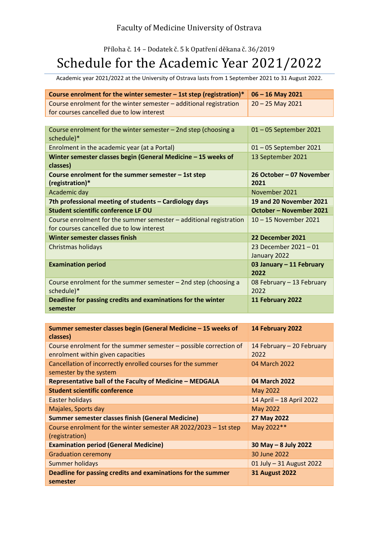## Příloha č. 14 – Dodatek č. 5 k Opatření děkana č. 36/2019 Schedule for the Academic Year 2021/2022

Academic year 2021/2022 at the University of Ostrava lasts from 1 September 2021 to 31 August 2022.

| Course enrolment for the winter semester $-$ 1st step (registration)*                                           | $06 - 16$ May 2021                    |
|-----------------------------------------------------------------------------------------------------------------|---------------------------------------|
| Course enrolment for the winter semester - additional registration<br>for courses cancelled due to low interest | $20 - 25$ May 2021                    |
|                                                                                                                 |                                       |
| Course enrolment for the winter semester $-$ 2nd step (choosing a                                               | 01-05 September 2021                  |
| schedule)*                                                                                                      |                                       |
| Enrolment in the academic year (at a Portal)                                                                    | 01-05 September 2021                  |
| Winter semester classes begin (General Medicine - 15 weeks of                                                   | 13 September 2021                     |
| classes)                                                                                                        |                                       |
| Course enrolment for the summer semester - 1st step<br>(registration)*                                          | 26 October – 07 November<br>2021      |
| Academic day                                                                                                    | November 2021                         |
| 7th professional meeting of students - Cardiology days                                                          | <b>19 and 20 November 2021</b>        |
| Student scientific conference LF OU                                                                             | October - November 2021               |
| Course enrolment for the summer semester - additional registration                                              | 10 - 15 November 2021                 |
| for courses cancelled due to low interest                                                                       |                                       |
| Winter semester classes finish                                                                                  | 22 December 2021                      |
| Christmas holidays                                                                                              | 23 December 2021 - 01<br>January 2022 |
| <b>Examination period</b>                                                                                       | 03 January - 11 February<br>2022      |
| Course enrolment for the summer semester $-$ 2nd step (choosing a                                               | 08 February - 13 February             |
| schedule)*                                                                                                      | 2022                                  |
| Deadline for passing credits and examinations for the winter                                                    | 11 February 2022                      |
| semester                                                                                                        |                                       |

| Summer semester classes begin (General Medicine – 15 weeks of<br>classes) | 14 February 2022          |
|---------------------------------------------------------------------------|---------------------------|
| Course enrolment for the summer semester – possible correction of         | 14 February - 20 February |
| enrolment within given capacities                                         | 2022                      |
| Cancellation of incorrectly enrolled courses for the summer               | 04 March 2022             |
| semester by the system                                                    |                           |
| Representative ball of the Faculty of Medicine - MEDGALA                  | 04 March 2022             |
| <b>Student scientific conference</b>                                      | May 2022                  |
| <b>Easter holidays</b>                                                    | 14 April - 18 April 2022  |
| Majales, Sports day                                                       | May 2022                  |
| <b>Summer semester classes finish (General Medicine)</b>                  | 27 May 2022               |
| Course enrolment for the winter semester AR 2022/2023 - 1st step          | May 2022**                |
| (registration)                                                            |                           |
| <b>Examination period (General Medicine)</b>                              | $30$ May $-8$ July 2022   |
| <b>Graduation ceremony</b>                                                | 30 June 2022              |
| <b>Summer holidays</b>                                                    | 01 July - 31 August 2022  |
| Deadline for passing credits and examinations for the summer              | <b>31 August 2022</b>     |
| semester                                                                  |                           |